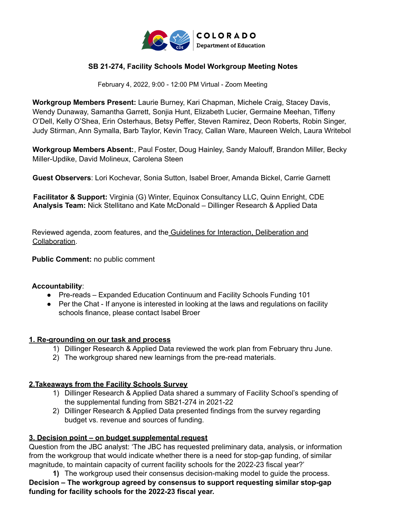

#### **SB 21-274, Facility Schools Model Workgroup Meeting Notes**

February 4, 2022, 9:00 - 12:00 PM Virtual - Zoom Meeting

 **Workgroup Members Present:** Laurie Burney, Kari Chapman, Michele Craig, Stacey Davis, Wendy Dunaway, Samantha Garrett, Sonjia Hunt, Elizabeth Lucier, Germaine Meehan, Tiffeny O'Dell, Kelly O'Shea, Erin Osterhaus, Betsy Peffer, Steven Ramirez, Deon Roberts, Robin Singer, Judy Stirman, Ann Symalla, Barb Taylor, Kevin Tracy, Callan Ware, Maureen Welch, Laura Writebol

 **Workgroup Members Absent:**, Paul Foster, Doug Hainley, Sandy Malouff, Brandon Miller, Becky Miller-Updike, David Molineux, Carolena Steen

**Guest Observers**: Lori Kochevar, Sonia Sutton, Isabel Broer, Amanda Bickel, Carrie Garnett

 **Facilitator & Support:** Virginia (G) Winter, Equinox Consultancy LLC, Quinn Enright, CDE **Analysis Team:** Nick Stellitano and Kate McDonald – Dillinger Research & Applied Data

Reviewed agenda, zoom features, and the Guidelines for Interaction, Deliberation and Collaboration.

**Public Comment:** no public comment

#### **Accountability**:

- Pre-reads Expanded Education Continuum and Facility Schools Funding 101
- ● Per the Chat If anyone is interested in looking at the laws and regulations on facility schools finance, please contact Isabel Broer

#### **1. Re-grounding on our task and process**

- 1) Dillinger Research & Applied Data reviewed the work plan from February thru June.
- 2) The workgroup shared new learnings from the pre-read materials.

#### **2.Takeaways from the Facility Schools Survey**

- 1) Dillinger Research & Applied Data shared a summary of Facility School's spending of the supplemental funding from SB21-274 in 2021-22
- 2) Dillinger Research & Applied Data presented findings from the survey regarding budget vs. revenue and sources of funding.

#### **3. Decision point – on budget supplemental request**

 Question from the JBC analyst: 'The JBC has requested preliminary data, analysis, or information from the workgroup that would indicate whether there is a need for stop-gap funding, of similar magnitude, to maintain capacity of current facility schools for the 2022-23 fiscal year?'

 **1)** The workgroup used their consensus decision-making model to guide the process.  **Decision – The workgroup agreed by consensus to support requesting similar stop-gap funding for facility schools for the 2022-23 fiscal year.**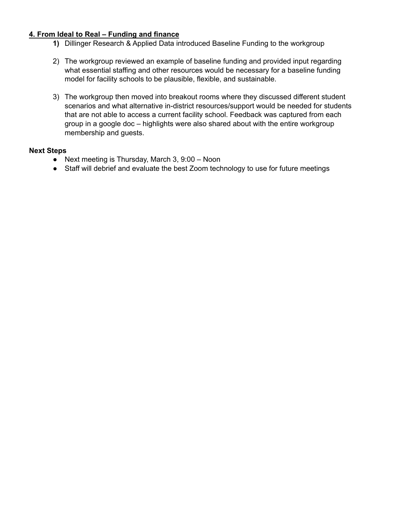#### **4. From Ideal to Real – Funding and finance**

- **1)** Dillinger Research & Applied Data introduced Baseline Funding to the workgroup
- 2) The workgroup reviewed an example of baseline funding and provided input regarding what essential staffing and other resources would be necessary for a baseline funding model for facility schools to be plausible, flexible, and sustainable.
- 3) The workgroup then moved into breakout rooms where they discussed different student scenarios and what alternative in-district resources/support would be needed for students that are not able to access a current facility school. Feedback was captured from each group in a google doc – highlights were also shared about with the entire workgroup membership and guests.

#### **Next Steps**

- Next meeting is Thursday, March 3, 9:00 Noon
- Staff will debrief and evaluate the best Zoom technology to use for future meetings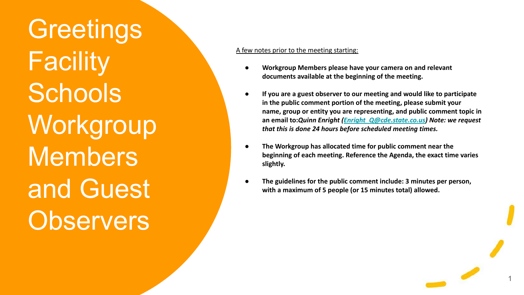**Greetings Facility Schools Workgroup Members** and Guest **Observers** 

#### A few notes prior to the meeting starting:

- **● Workgroup Members please have your camera on and relevant documents available at the beginning of the meeting.**
- **● If you are a guest observer to our meeting and would like to participate in the public comment portion of the meeting, please submit your name, group or entity you are representing, and public comment topic in an email to:***Quinn Enright [\(Enright\\_Q@cde.state.co.us](mailto:Enright_Q@cde.state.co.us)) Note: we request that this is done 24 hours before scheduled meeting times.*
- **● The Workgroup has allocated time for public comment near the beginning of each meeting. Reference the Agenda, the exact time varies slightly.**
- **● The guidelines for the public comment include: 3 minutes per person, with a maximum of 5 people (or 15 minutes total) allowed.**

1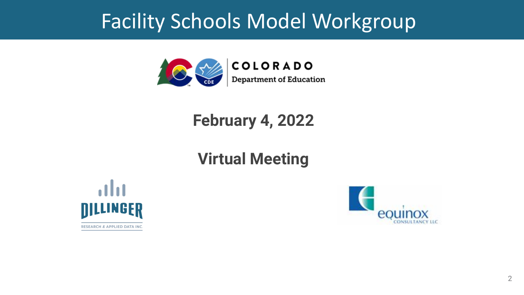# Facility Schools Model Workgroup



## **February 4, 2022**

## **Virtual Meeting**



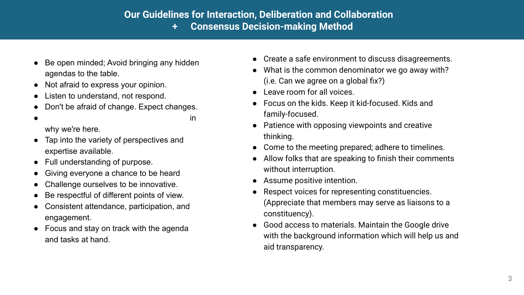### **Our Guidelines for Interaction, Deliberation and Collaboration + Consensus Decision-making Method**

- Be open minded; Avoid bringing any hidden agendas to the table.
- Not afraid to express your opinion.
- Listen to understand, not respond.
- Don't be afraid of change. Expect changes.
- $\bullet$  stay mission-focused; being transparent in why we're here.
- Tap into the variety of perspectives and expertise available.
- Full understanding of purpose.
- Giving everyone a chance to be heard
- Challenge ourselves to be innovative.
- Be respectful of different points of view.
- Consistent attendance, participation, and engagement.
- Focus and stay on track with the agenda and tasks at hand.
- Create a safe environment to discuss disagreements.
- What is the common denominator we go away with? (i.e. Can we agree on a global fix?)
- Leave room for all voices.
- Focus on the kids. Keep it kid-focused. Kids and family-focused.
- Patience with opposing viewpoints and creative thinking.
- Come to the meeting prepared; adhere to timelines.
- Allow folks that are speaking to finish their comments without interruption.
- Assume positive intention.
- Respect voices for representing constituencies. (Appreciate that members may serve as liaisons to a constituency).
- Good access to materials. Maintain the Google drive with the background information which will help us and aid transparency.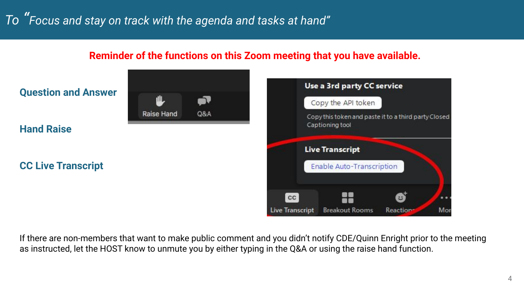### **Reminder of the functions on this Zoom meeting that you have available.**



If there are non-members that want to make public comment and you didn't notify CDE/Quinn Enright prior to the meeting as instructed, let the HOST know to unmute you by either typing in the Q&A or using the raise hand function.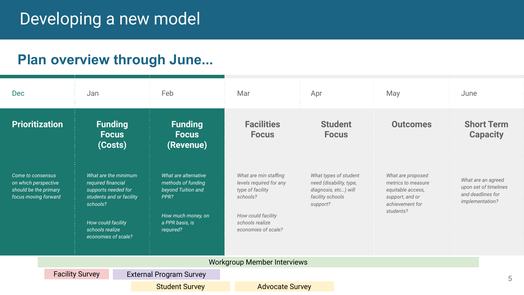## Developing a new model

## **Plan overview through June...**

| Dec                                                                                        |                        | Jan                                                                                                                                                                       |  | Feb                                                                                                                            | Mar                                                                                                                                              | Apr                                                                                                      | May                                                                                                             | June                                 |                                             |
|--------------------------------------------------------------------------------------------|------------------------|---------------------------------------------------------------------------------------------------------------------------------------------------------------------------|--|--------------------------------------------------------------------------------------------------------------------------------|--------------------------------------------------------------------------------------------------------------------------------------------------|----------------------------------------------------------------------------------------------------------|-----------------------------------------------------------------------------------------------------------------|--------------------------------------|---------------------------------------------|
| <b>Prioritization</b>                                                                      |                        | <b>Funding</b><br><b>Focus</b><br>(Costs)                                                                                                                                 |  | <b>Funding</b><br><b>Focus</b><br>(Revenue)                                                                                    | <b>Facilities</b><br><b>Focus</b>                                                                                                                | <b>Student</b><br><b>Focus</b>                                                                           | <b>Outcomes</b>                                                                                                 |                                      | <b>Short Term</b><br><b>Capacity</b>        |
| Come to consensus<br>on which perspective<br>should be the primary<br>focus moving forward |                        | What are the minimum<br>required financial<br>supports needed for<br>students and or facility<br>schools?<br>How could facility<br>schools realize<br>economies of scale? |  | What are alternative<br>methods of funding<br>beyond Tuition and<br>PPR?<br>How much money, on<br>a PPR basis, is<br>required? | What are min staffing<br>levels required for any<br>type of facility<br>schools?<br>How could facility<br>schools realize<br>economies of scale? | What types of student<br>need (disability, type,<br>diagnosis, etc) will<br>facility schools<br>support? | What are proposed<br>metrics to measure<br>equitable access,<br>support, and or<br>achievement for<br>students? | and deadlines for<br>implementation? | What are an agreed<br>upon set of timelines |
|                                                                                            |                        |                                                                                                                                                                           |  |                                                                                                                                | <b>Workgroup Member Interviews</b>                                                                                                               |                                                                                                          |                                                                                                                 |                                      |                                             |
|                                                                                            | <b>Facility Survey</b> |                                                                                                                                                                           |  | <b>External Program Survey</b>                                                                                                 |                                                                                                                                                  |                                                                                                          |                                                                                                                 |                                      | 5                                           |
|                                                                                            |                        |                                                                                                                                                                           |  | <b>Student Survey</b>                                                                                                          | <b>Advocate Survey</b>                                                                                                                           |                                                                                                          |                                                                                                                 |                                      |                                             |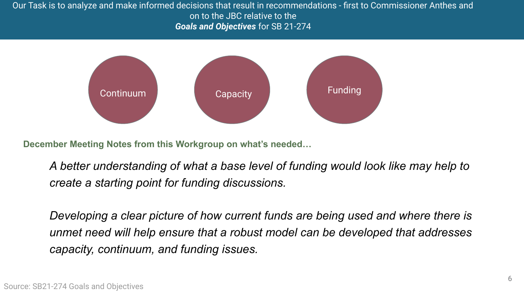Our Task is to analyze and make informed decisions that result in recommendations - first to Commissioner Anthes and on to the JBC relative to the *Goals and Objectives* for SB 21-274



**December Meeting Notes from this Workgroup on what's needed…**

*A better understanding of what a base level of funding would look like may help to create a starting point for funding discussions.*

*Developing a clear picture of how current funds are being used and where there is unmet need will help ensure that a robust model can be developed that addresses capacity, continuum, and funding issues.*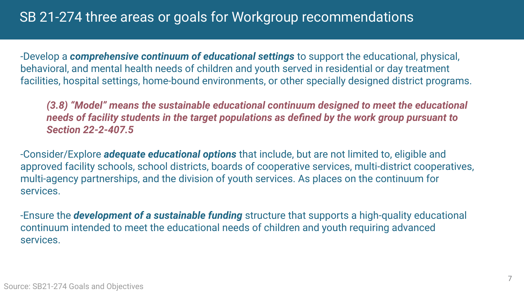## SB 21-274 three areas or goals for Workgroup recommendations

-Develop a *comprehensive continuum of educational settings* to support the educational, physical, behavioral, and mental health needs of children and youth served in residential or day treatment facilities, hospital settings, home-bound environments, or other specially designed district programs.

*(3.8) "Model" means the sustainable educational continuum designed to meet the educational needs of facility students in the target populations as defined by the work group pursuant to Section 22-2-407.5*

-Consider/Explore *adequate educational options* that include, but are not limited to, eligible and approved facility schools, school districts, boards of cooperative services, multi-district cooperatives, multi-agency partnerships, and the division of youth services. As places on the continuum for services.

-Ensure the *development of a sustainable funding* structure that supports a high-quality educational continuum intended to meet the educational needs of children and youth requiring advanced services.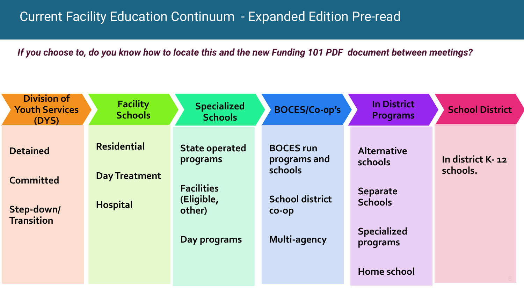## Current Facility Education Continuum - Expanded Edition Pre-read

*If you choose to, do you know how to locate this and the new Funding 101 PDF document between meetings?*

| <b>Division of</b><br><b>Youth Services</b><br>(DYS) | <b>Facility</b><br><b>Schools</b>          | <b>Specialized</b><br><b>Schools</b>                   | <b>BOCES/Co-op's</b>                        | <b>In District</b><br><b>Programs</b>     | <b>School District</b>       |
|------------------------------------------------------|--------------------------------------------|--------------------------------------------------------|---------------------------------------------|-------------------------------------------|------------------------------|
| <b>Detained</b><br><b>Committed</b>                  | <b>Residential</b><br><b>Day Treatment</b> | <b>State operated</b><br>programs<br><b>Facilities</b> | <b>BOCES</b> run<br>programs and<br>schools | <b>Alternative</b><br>schools<br>Separate | In district K-12<br>schools. |
| Step-down/<br><b>Transition</b>                      | <b>Hospital</b>                            | (Eligible,<br>other)                                   | <b>School district</b><br>$CO$ -O $D$       | <b>Schools</b>                            |                              |
|                                                      |                                            | Day programs                                           | Multi-agency                                | <b>Specialized</b><br>programs            |                              |
|                                                      |                                            |                                                        |                                             | Home school                               |                              |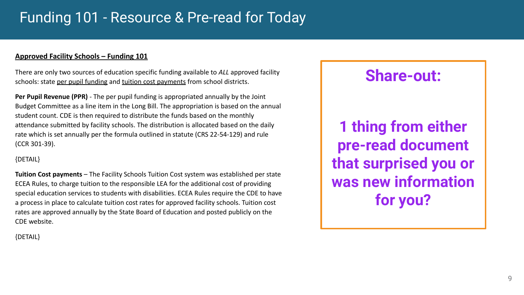## Funding 101 - Resource & Pre-read for Today

#### **Approved Facility Schools – Funding 101**

There are only two sources of education specific funding available to *ALL* approved facility schools: state per pupil funding and tuition cost payments from school districts.

**Per Pupil Revenue (PPR)** - The per pupil funding is appropriated annually by the Joint Budget Committee as a line item in the Long Bill. The appropriation is based on the annual student count. CDE is then required to distribute the funds based on the monthly attendance submitted by facility schools. The distribution is allocated based on the daily rate which is set annually per the formula outlined in statute (CRS 22-54-129) and rule (CCR 301-39).

#### {DETAIL}

**Tuition Cost payments** – The Facility Schools Tuition Cost system was established per state ECEA Rules, to charge tuition to the responsible LEA for the additional cost of providing special education services to students with disabilities. ECEA Rules require the CDE to have a process in place to calculate tuition cost rates for approved facility schools. Tuition cost rates are approved annually by the State Board of Education and posted publicly on the CDE website.

## **Share-out:**

**1 thing from either pre-read document that surprised you or was new information for you?**

{DETAIL}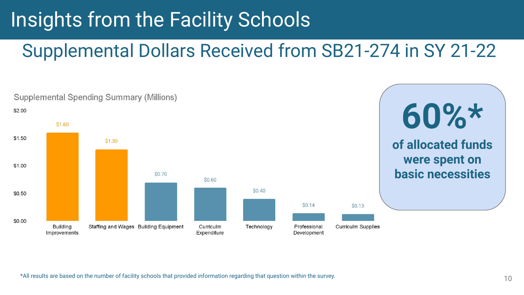# Insights from the Facility Schools

## Supplemental Dollars Received from SB21-274 in SY 21-22



\*All results are based on the number of facility schools that provided information regarding that question within the survey.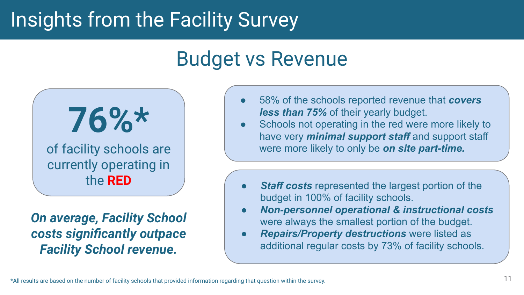# Insights from the Facility Survey

## Budget vs Revenue



*On average, Facility School costs significantly outpace Facility School revenue.*

- 58% of the schools reported revenue that *covers less than 75%* of their yearly budget.
- Schools not operating in the red were more likely to have very *minimal support staff* and support staff were more likely to only be *on site part-time.*
- **Staff costs** represented the largest portion of the budget in 100% of facility schools.
- *Non-personnel operational & instructional costs* were always the smallest portion of the budget.
- *Repairs/Property destructions* were listed as additional regular costs by 73% of facility schools.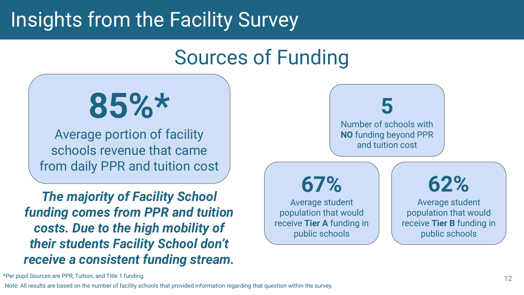# Insights from the Facility Survey

# Sources of Funding



Average portion of facility schools revenue that came from daily PPR and tuition cost

*The majority of Facility School funding comes from PPR and tuition costs. Due to the high mobility of their students Facility School don't receive a consistent funding stream.*



\*Per pupil Sources are PPR, Tuition, and Title 1 funding.

Note: All results are based on the number of facility schools that provided information regarding that question within the survey.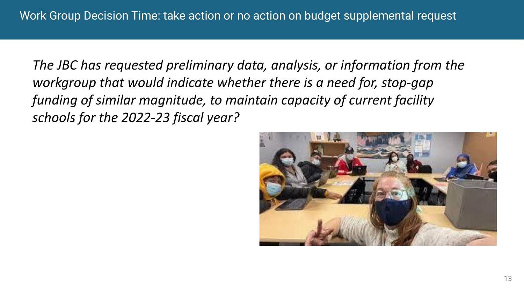*The JBC has requested preliminary data, analysis, or information from the workgroup that would indicate whether there is a need for, stop-gap funding of similar magnitude, to maintain capacity of current facility schools for the 2022-23 fiscal year?*

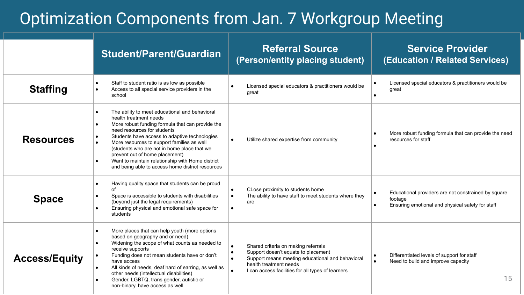## Optimization Components from Jan. 7 Workgroup Meeting

|                      | <b>Student/Parent/Guardian</b>                                                                                                                                                                                                                                                                                                                                                                                                                                                                          | <b>Referral Source</b><br>(Person/entity placing student)                                                                                                                                                     | <b>Service Provider</b><br>(Education / Related Services)                                                          |
|----------------------|---------------------------------------------------------------------------------------------------------------------------------------------------------------------------------------------------------------------------------------------------------------------------------------------------------------------------------------------------------------------------------------------------------------------------------------------------------------------------------------------------------|---------------------------------------------------------------------------------------------------------------------------------------------------------------------------------------------------------------|--------------------------------------------------------------------------------------------------------------------|
| <b>Staffing</b>      | Staff to student ratio is as low as possible<br>Access to all special service providers in the<br>$\bullet$<br>school                                                                                                                                                                                                                                                                                                                                                                                   | Licensed special educators & practitioners would be<br>great                                                                                                                                                  | Licensed special educators & practitioners would be<br>great                                                       |
| <b>Resources</b>     | The ability to meet educational and behavioral<br>$\bullet$<br>health treatment needs<br>More robust funding formula that can provide the<br>$\bullet$<br>need resources for students<br>Students have access to adaptive technologies<br>$\bullet$<br>More resources to support families as well<br>$\bullet$<br>(students who are not in home place that we<br>prevent out of home placement)<br>Want to maintain relationship with Home district<br>and being able to access home district resources | Utilize shared expertise from community                                                                                                                                                                       | More robust funding formula that can provide the need<br>resources for staff                                       |
| <b>Space</b>         | Having quality space that students can be proud<br>$\bullet$<br>Ωf<br>Space is accessible to students with disabilities<br>$\bullet$<br>(beyond just the legal requirements)<br>Ensuring physical and emotional safe space for<br>$\bullet$<br>students                                                                                                                                                                                                                                                 | CLose proximity to students home<br>The ability to have staff to meet students where they<br>are                                                                                                              | Educational providers are not constrained by square<br>footage<br>Ensuring emotional and physical safety for staff |
| <b>Access/Equity</b> | More places that can help youth (more options<br>$\bullet$<br>based on geography and or need)<br>Widening the scope of what counts as needed to<br>$\bullet$<br>receive supports<br>Funding does not mean students have or don't<br>have access<br>All kinds of needs, deaf hard of earring, as well as<br>$\bullet$<br>other needs (intellectual disabilities)<br>Gender, LGBTQ, trans gender, autistic or<br>non-binary. have access as well                                                          | Shared criteria on making referrals<br>Support doesn't equate to placement<br>Support means meeting educational and behavioral<br>health treatment needs<br>I can access facilities for all types of learners | Differentiated levels of support for staff<br>Need to build and improve capacity<br>$\bullet$<br>15                |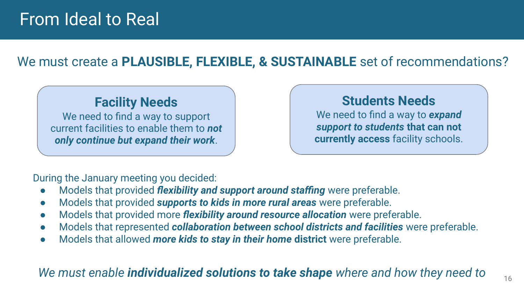## From Ideal to Real

## We must create a **PLAUSIBLE, FLEXIBLE, & SUSTAINABLE** set of recommendations?

## **Facility Needs**

We need to find a way to support current facilities to enable them to *not only continue but expand their work*.

## **Students Needs**

We need to find a way to *expand support to students* **that can not currently access** facility schools.

During the January meeting you decided:

- Models that provided *flexibility and support around staffing* were preferable.
- Models that provided *supports to kids in more rural areas* were preferable.
- Models that provided more *flexibility around resource allocation* were preferable.
- Models that represented *collaboration between school districts and facilities* were preferable.
- Models that allowed *more kids to stay in their home* **district** were preferable.

## *We must enable individualized solutions to take shape where and how they need to*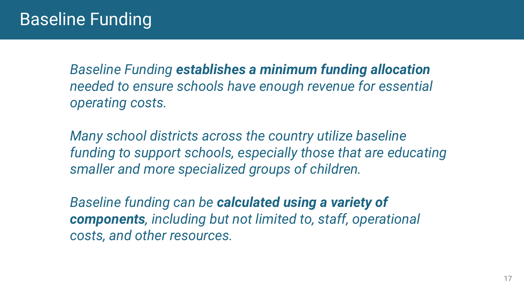*Baseline Funding establishes a minimum funding allocation needed to ensure schools have enough revenue for essential operating costs.* 

*Many school districts across the country utilize baseline funding to support schools, especially those that are educating smaller and more specialized groups of children.* 

*Baseline funding can be calculated using a variety of components, including but not limited to, staff, operational costs, and other resources.*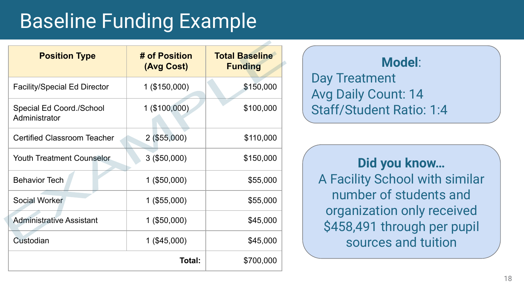# Baseline Funding Example

| <b>Position Type</b>                      | # of Position<br>(Avg Cost) | <b>Total Baseline</b><br><b>Funding</b> |  |
|-------------------------------------------|-----------------------------|-----------------------------------------|--|
| <b>Facility/Special Ed Director</b>       | 1 (\$150,000)               | \$150,000                               |  |
| Special Ed Coord./School<br>Administrator | 1 (\$100,000)               | \$100,000                               |  |
| <b>Certified Classroom Teacher</b>        | $2($ \$55,000)              | \$110,000                               |  |
| <b>Youth Treatment Counselor</b>          | $3($ \$50,000)              | \$150,000                               |  |
| <b>Behavior Tech</b>                      | $1($ \$50,000)              | \$55,000                                |  |
| Social Worker                             | 1 (\$55,000)                | \$55,000                                |  |
| <b>Administrative Assistant</b>           | $1($ \$50,000)              | \$45,000                                |  |
| Custodian                                 | $1($ \$45,000)              | \$45,000                                |  |
|                                           | Total:                      | \$700,000                               |  |

## **Model**: Day Treatment Avg Daily Count: 14 Staff/Student Ratio: 1:4

- 1

**Did you know…** A Facility School with similar number of students and organization only received \$458,491 through per pupil sources and tuition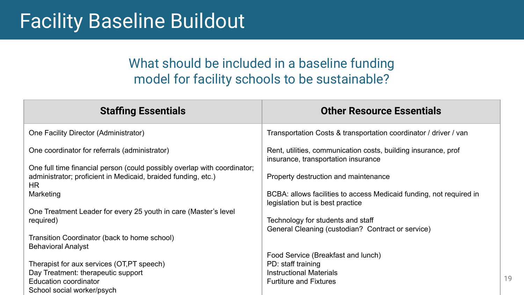## Facility Baseline Buildout

## What should be included in a baseline funding model for facility schools to be sustainable?

| <b>Staffing Essentials</b>                                                                                                                       | <b>Other Resource Essentials</b>                                                                        |
|--------------------------------------------------------------------------------------------------------------------------------------------------|---------------------------------------------------------------------------------------------------------|
| One Facility Director (Administrator)                                                                                                            | Transportation Costs & transportation coordinator / driver / van                                        |
| One coordinator for referrals (administrator)                                                                                                    | Rent, utilities, communication costs, building insurance, prof<br>insurance, transportation insurance   |
| One full time financial person (could possibly overlap with coordinator;<br>administrator; proficient in Medicaid, braided funding, etc.)<br>HR. | Property destruction and maintenance                                                                    |
| Marketing                                                                                                                                        | BCBA: allows facilities to access Medicaid funding, not required in<br>legislation but is best practice |
| One Treatment Leader for every 25 youth in care (Master's level<br>required)                                                                     | Technology for students and staff<br>General Cleaning (custodian? Contract or service)                  |
| Transition Coordinator (back to home school)<br><b>Behavioral Analyst</b>                                                                        |                                                                                                         |
|                                                                                                                                                  | Food Service (Breakfast and lunch)                                                                      |
| Therapist for aux services (OT,PT speech)<br>Day Treatment: therapeutic support                                                                  | PD: staff training<br><b>Instructional Materials</b>                                                    |
| Education coordinator<br>School social worker/psych                                                                                              | <b>Furtiture and Fixtures</b>                                                                           |

19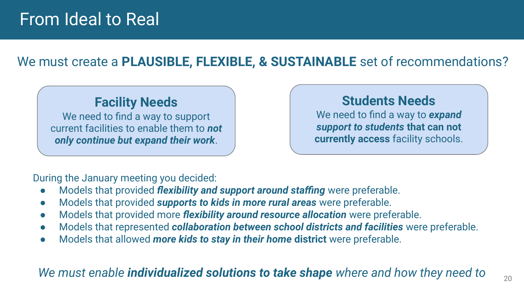## From Ideal to Real

## We must create a **PLAUSIBLE, FLEXIBLE, & SUSTAINABLE** set of recommendations?

## **Facility Needs**

We need to find a way to support current facilities to enable them to *not only continue but expand their work*.

## **Students Needs**

We need to find a way to *expand support to students* **that can not currently access** facility schools.

During the January meeting you decided:

- Models that provided *flexibility and support around staffing* were preferable.
- Models that provided *supports to kids in more rural areas* were preferable.
- Models that provided more *flexibility around resource allocation* were preferable.
- Models that represented *collaboration between school districts and facilities* were preferable.
- Models that allowed *more kids to stay in their home* **district** were preferable.

## *We must enable individualized solutions to take shape where and how they need to*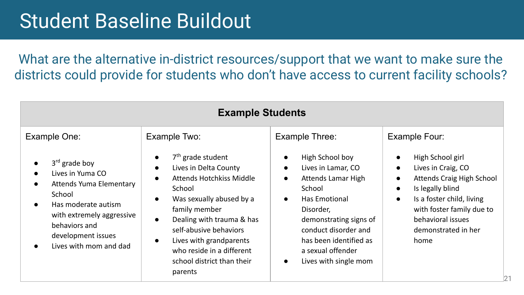## Student Baseline Buildout

What are the alternative in-district resources/support that we want to make sure the districts could provide for students who don't have access to current facility schools?

| <b>Example Students</b>                                                                                                                                                                              |                                                                                                                                                                                                                                                                                                                                                                       |                                                                                                                                                                                                                                                                                   |                                                                                                                                                                                                                                                                               |  |  |
|------------------------------------------------------------------------------------------------------------------------------------------------------------------------------------------------------|-----------------------------------------------------------------------------------------------------------------------------------------------------------------------------------------------------------------------------------------------------------------------------------------------------------------------------------------------------------------------|-----------------------------------------------------------------------------------------------------------------------------------------------------------------------------------------------------------------------------------------------------------------------------------|-------------------------------------------------------------------------------------------------------------------------------------------------------------------------------------------------------------------------------------------------------------------------------|--|--|
| Example One:                                                                                                                                                                                         | Example Two:                                                                                                                                                                                                                                                                                                                                                          | Example Three:                                                                                                                                                                                                                                                                    | Example Four:                                                                                                                                                                                                                                                                 |  |  |
| $3rd$ grade boy<br>Lives in Yuma CO<br><b>Attends Yuma Elementary</b><br>School<br>Has moderate autism<br>with extremely aggressive<br>behaviors and<br>development issues<br>Lives with mom and dad | $7th$ grade student<br>$\bullet$<br>Lives in Delta County<br>$\bullet$<br>Attends Hotchkiss Middle<br>$\bullet$<br>School<br>Was sexually abused by a<br>$\bullet$<br>family member<br>Dealing with trauma & has<br>$\bullet$<br>self-abusive behaviors<br>Lives with grandparents<br>$\bullet$<br>who reside in a different<br>school district than their<br>parents | High School boy<br>Lives in Lamar, CO<br>$\bullet$<br>Attends Lamar High<br>$\bullet$<br>School<br>Has Emotional<br>$\bullet$<br>Disorder,<br>demonstrating signs of<br>conduct disorder and<br>has been identified as<br>a sexual offender<br>Lives with single mom<br>$\bullet$ | High School girl<br>$\bullet$<br>Lives in Craig, CO<br>$\bullet$<br>Attends Craig High School<br>$\bullet$<br>Is legally blind<br>$\bullet$<br>Is a foster child, living<br>$\bullet$<br>with foster family due to<br>behavioral issues<br>demonstrated in her<br>home<br>121 |  |  |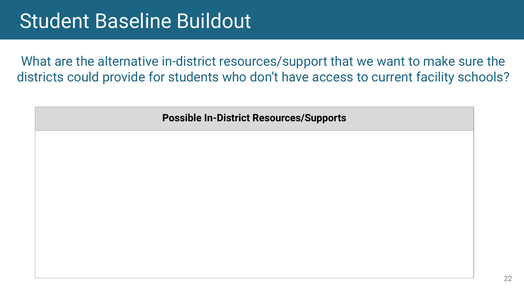## Student Baseline Buildout

What are the alternative in-district resources/support that we want to make sure the districts could provide for students who don't have access to current facility schools?

**Possible In-District Resources/Supports**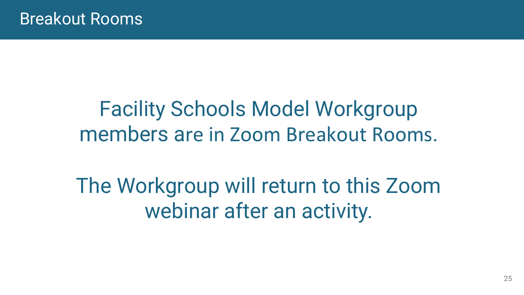# Facility Schools Model Workgroup members are i[n Zoom Breakout Rooms](https://us02web.zoom.us/j/86788243639?pwd=SytYcHRvL1NSNzhBUm1VUGF2R3JwQT09).

The Workgroup will return to this Zoom webinar after an activity.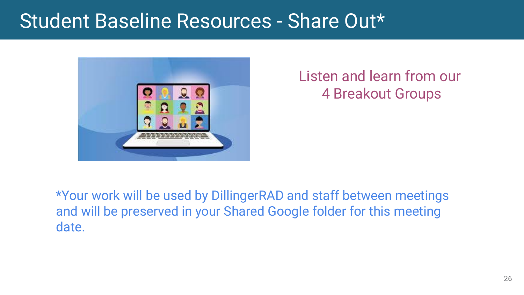## Student Baseline Resources - Share Out\*



Listen and learn from our 4 Breakout Groups

\*Your work will be used by DillingerRAD and staff between meetings and will be preserved in your Shared Google folder for this meeting date.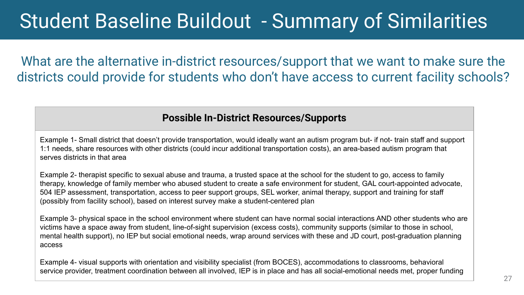# Student Baseline Buildout - Summary of Similarities

What are the alternative in-district resources/support that we want to make sure the districts could provide for students who don't have access to current facility schools?

### **Possible In-District Resources/Supports**

Example 1- Small district that doesn't provide transportation, would ideally want an autism program but- if not- train staff and support 1:1 needs, share resources with other districts (could incur additional transportation costs), an area-based autism program that serves districts in that area

Example 2- therapist specific to sexual abuse and trauma, a trusted space at the school for the student to go, access to family therapy, knowledge of family member who abused student to create a safe environment for student, GAL court-appointed advocate, 504 IEP assessment, transportation, access to peer support groups, SEL worker, animal therapy, support and training for staff (possibly from facility school), based on interest survey make a student-centered plan

Example 3- physical space in the school environment where student can have normal social interactions AND other students who are victims have a space away from student, line-of-sight supervision (excess costs), community supports (similar to those in school, mental health support), no IEP but social emotional needs, wrap around services with these and JD court, post-graduation planning access

Example 4- visual supports with orientation and visibility specialist (from BOCES), accommodations to classrooms, behavioral service provider, treatment coordination between all involved, IEP is in place and has all social-emotional needs met, proper funding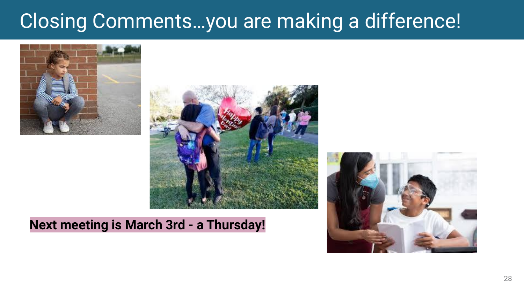# Closing Comments…you are making a difference!





## **Next meeting is March 3rd - a Thursday!**

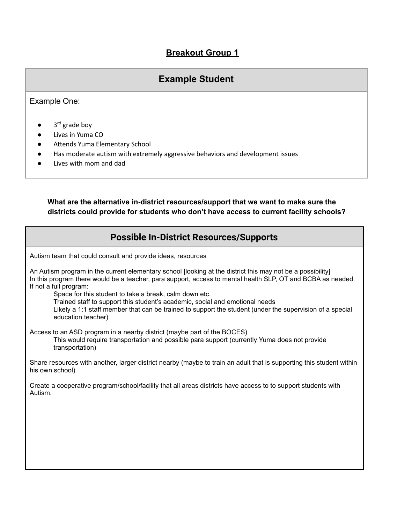### **Breakout Group 1**

### **Example Student**

#### Example One:

- $\bullet$  3<sup>rd</sup> grade boy
- Lives in Yuma CO
- Attends Yuma Elementary School
- Has moderate autism with extremely aggressive behaviors and development issues
- Lives with mom and dad

#### **What are the alternative in-district resources/support that we want to make sure the districts could provide for students who don't have access to current facility schools?**

### **Possible In-District Resources/Supports**

Autism team that could consult and provide ideas, resources

| An Autism program in the current elementary school [looking at the district this may not be a possibility]<br>In this program there would be a teacher, para support, access to mental health SLP, OT and BCBA as needed.<br>If not a full program:<br>Space for this student to take a break, calm down etc.<br>Trained staff to support this student's academic, social and emotional needs<br>Likely a 1:1 staff member that can be trained to support the student (under the supervision of a special<br>education teacher) |
|---------------------------------------------------------------------------------------------------------------------------------------------------------------------------------------------------------------------------------------------------------------------------------------------------------------------------------------------------------------------------------------------------------------------------------------------------------------------------------------------------------------------------------|
| Access to an ASD program in a nearby district (maybe part of the BOCES)<br>This would require transportation and possible para support (currently Yuma does not provide<br>transportation)                                                                                                                                                                                                                                                                                                                                      |
| Share resources with another, larger district nearby (maybe to train an adult that is supporting this student within<br>his own school)                                                                                                                                                                                                                                                                                                                                                                                         |
| Create a cooperative program/school/facility that all areas districts have access to to support students with<br>Autism.                                                                                                                                                                                                                                                                                                                                                                                                        |
|                                                                                                                                                                                                                                                                                                                                                                                                                                                                                                                                 |
|                                                                                                                                                                                                                                                                                                                                                                                                                                                                                                                                 |
|                                                                                                                                                                                                                                                                                                                                                                                                                                                                                                                                 |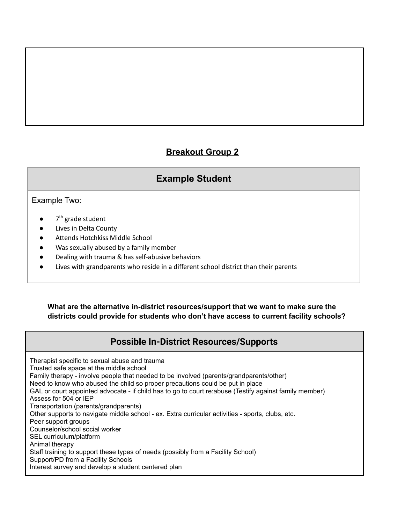### **Breakout Group 2**

### **Example Student**

#### Example Two:

- $7<sup>th</sup>$  grade student
- Lives in Delta County
- Attends Hotchkiss Middle School
- Was sexually abused by a family member
- Dealing with trauma & has self-abusive behaviors
- Lives with grandparents who reside in a different school district than their parents

 **What are the alternative in-district resources/support that we want to make sure the districts could provide for students who don't have access to current facility schools?**

### **Possible In-District Resources/Supports**

 Therapist specific to sexual abuse and trauma Trusted safe space at the middle school Family therapy - involve people that needed to be involved (parents/grandparents/other) Need to know who abused the child so proper precautions could be put in place GAL or court appointed advocate - if child has to go to court re:abuse (Testify against family member) Assess for 504 or IEP Other supports to navigate middle school - ex. Extra curricular activities - sports, clubs, etc. Peer support groups Counselor/school social worker Staff training to support these types of needs (possibly from a Facility School) Support/PD from a Facility Schools Interest survey and develop a student centered planTransportation (parents/grandparents) SEL curriculum/platform Animal therapy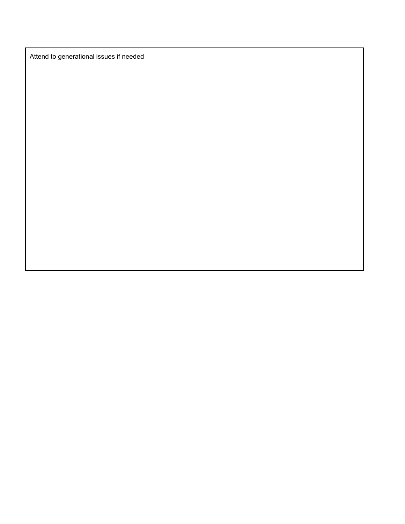Attend to generational issues if needed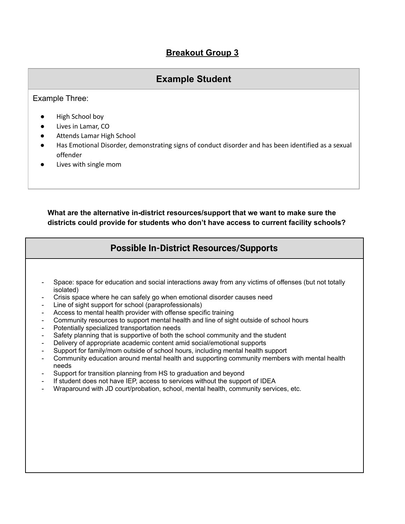### **Breakout Group 3**

### **Example Student**

Example Three:

- High School boy
- Lives in Lamar, CO
- Attends Lamar High School
- ● Has Emotional Disorder, demonstrating signs of conduct disorder and has been identified as a sexual offender
- Lives with single mom

#### **What are the alternative in-district resources/support that we want to make sure the districts could provide for students who don't have access to current facility schools?**

### **Possible In-District Resources/Supports**

- Space: space for education and social interactions away from any victims of offenses (but not totally isolated)
- Crisis space where he can safely go when emotional disorder causes need -
- Line of sight support for school (paraprofessionals) -
- Access to mental health provider with offense specific training -
- Community resources to support mental health and line of sight outside of school hours -
- Potentially specialized transportation needs -
- Safety planning that is supportive of both the school community and the student -
- Delivery of appropriate academic content amid social/emotional supports -
- Support for family/mom outside of school hours, including mental health support -
- Community education around mental health and supporting community members with mental health needs
- Support for transition planning from HS to graduation and beyond -
- If student does not have IEP, access to services without the support of IDEA -
- Wraparound with JD court/probation, school, mental health, community services, etc.-